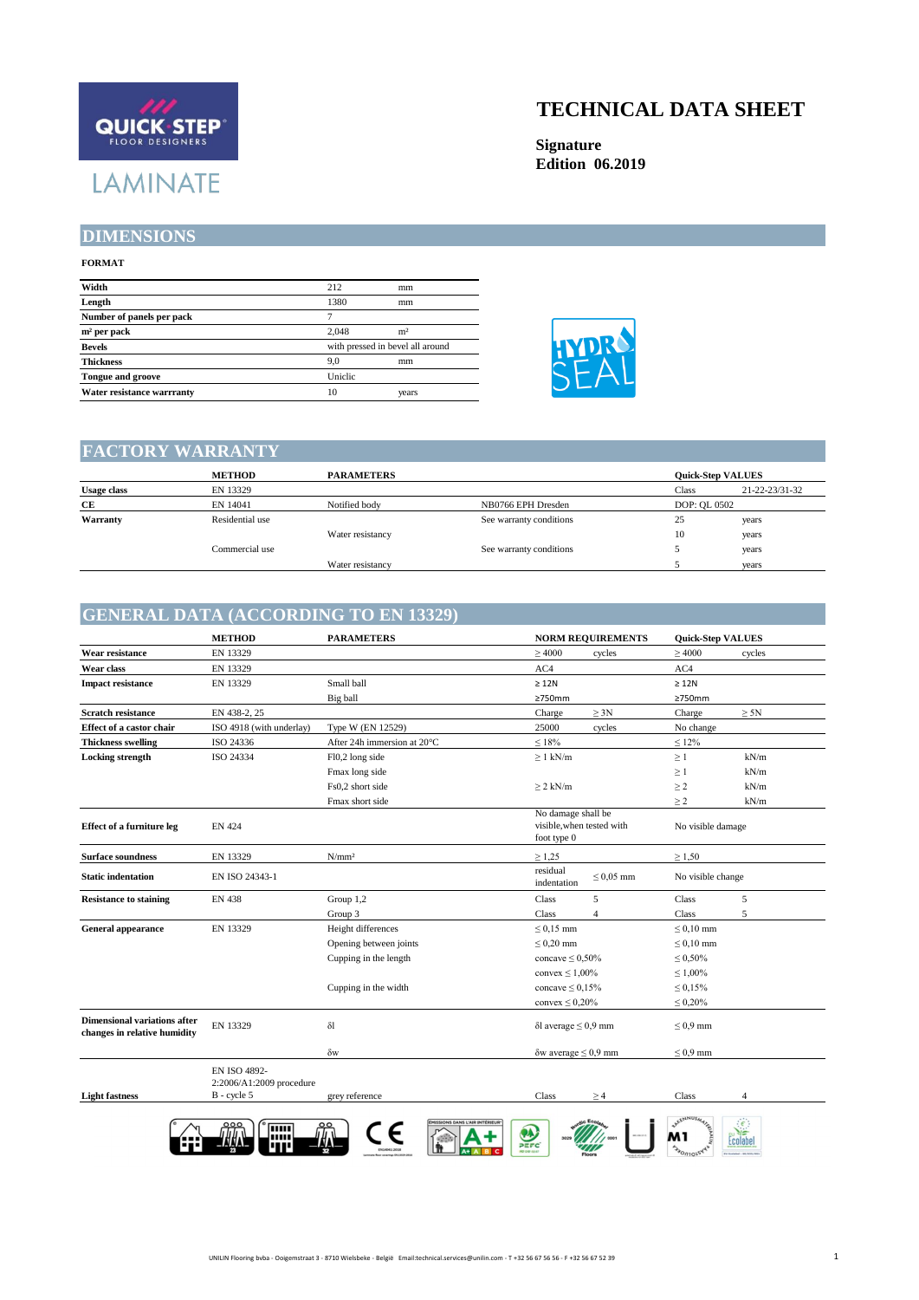

#### **DIMENSIONS**

#### **FORMAT**

| Width                      | 212                              | mm             |  |
|----------------------------|----------------------------------|----------------|--|
| Length                     | 1380                             | mm             |  |
| Number of panels per pack  |                                  |                |  |
| $m2$ per pack              | 2.048                            | m <sup>2</sup> |  |
| <b>Bevels</b>              | with pressed in bevel all around |                |  |
| <b>Thickness</b>           | 9.0                              | mm             |  |
| <b>Tongue and groove</b>   | Uniclic                          |                |  |
| Water resistance warrranty | 10                               | years          |  |

# **TECHNICAL DATA SHEET**

**Signature Edition 06.2019**



#### **FACTORY WARRANTY**

|                    | <b>METHOD</b>   | <b>PARAMETERS</b> |                         |              | <b>Ouick-Step VALUES</b> |
|--------------------|-----------------|-------------------|-------------------------|--------------|--------------------------|
| <b>Usage class</b> | EN 13329        |                   |                         | Class        | 21-22-23/31-32           |
| CE                 | EN 14041        | Notified body     | NB0766 EPH Dresden      | DOP: OL 0502 |                          |
| Warranty           | Residential use |                   | See warranty conditions | 25           | years                    |
|                    |                 | Water resistancy  |                         | 10           | years                    |
|                    | Commercial use  |                   | See warranty conditions |              | years                    |
|                    |                 | Water resistancy  |                         |              | vears                    |

#### **GENERAL DATA (ACCORDING TO EN 13329)**

| Small ball<br>Big ball<br>Type W (EN 12529)<br>After 24h immersion at 20°C<br>Fl0,2 long side<br>Fmax long side<br>Fs0,2 short side<br>Fmax short side | $\geq 4000$<br>cycles<br>AC4<br>$\geq 12N$<br>≥750mm<br>$\geq 3N$<br>Charge<br>25000<br>cycles<br>$\leq 18\%$<br>$\geq 1$ kN/m<br>$\geq$ 2 kN/m<br>No damage shall be<br>visible, when tested with<br>foot type 0 | $\geq 4000$<br>cycles<br>AC4<br>$\geq 12N$<br>≥750mm<br>Charge<br>$\geq 5N$<br>No change<br>$\leq 12\%$<br>kN/m<br>$\geq$ 1<br>$\geq 1$<br>kN/m<br>kN/m<br>$\geq$ 2<br>$\geq$ 2<br>kN/m<br>No visible damage |
|--------------------------------------------------------------------------------------------------------------------------------------------------------|-------------------------------------------------------------------------------------------------------------------------------------------------------------------------------------------------------------------|--------------------------------------------------------------------------------------------------------------------------------------------------------------------------------------------------------------|
|                                                                                                                                                        |                                                                                                                                                                                                                   |                                                                                                                                                                                                              |
|                                                                                                                                                        |                                                                                                                                                                                                                   |                                                                                                                                                                                                              |
|                                                                                                                                                        |                                                                                                                                                                                                                   |                                                                                                                                                                                                              |
|                                                                                                                                                        |                                                                                                                                                                                                                   |                                                                                                                                                                                                              |
|                                                                                                                                                        |                                                                                                                                                                                                                   |                                                                                                                                                                                                              |
|                                                                                                                                                        |                                                                                                                                                                                                                   |                                                                                                                                                                                                              |
|                                                                                                                                                        |                                                                                                                                                                                                                   |                                                                                                                                                                                                              |
|                                                                                                                                                        |                                                                                                                                                                                                                   |                                                                                                                                                                                                              |
|                                                                                                                                                        |                                                                                                                                                                                                                   |                                                                                                                                                                                                              |
|                                                                                                                                                        |                                                                                                                                                                                                                   |                                                                                                                                                                                                              |
|                                                                                                                                                        |                                                                                                                                                                                                                   |                                                                                                                                                                                                              |
|                                                                                                                                                        |                                                                                                                                                                                                                   |                                                                                                                                                                                                              |
| N/mm <sup>2</sup>                                                                                                                                      | $\geq 1,25$                                                                                                                                                                                                       | $\geq 1,50$                                                                                                                                                                                                  |
|                                                                                                                                                        | residual<br>$\leq 0.05$ mm<br>indentation                                                                                                                                                                         | No visible change                                                                                                                                                                                            |
| Group 1,2                                                                                                                                              | 5<br>Class                                                                                                                                                                                                        | Class<br>5                                                                                                                                                                                                   |
| Group 3                                                                                                                                                | $\overline{4}$<br>Class                                                                                                                                                                                           | 5<br>Class                                                                                                                                                                                                   |
| Height differences                                                                                                                                     | $\leq 0.15$ mm                                                                                                                                                                                                    | $\leq 0.10$ mm                                                                                                                                                                                               |
| Opening between joints                                                                                                                                 | $\leq 0.20$ mm                                                                                                                                                                                                    | $\leq 0.10$ mm                                                                                                                                                                                               |
| Cupping in the length                                                                                                                                  | concave $\leq 0.50\%$                                                                                                                                                                                             | $\leq 0.50\%$                                                                                                                                                                                                |
|                                                                                                                                                        | convex $\leq 1,00\%$                                                                                                                                                                                              | $\leq 1,00\%$                                                                                                                                                                                                |
| Cupping in the width                                                                                                                                   | concave $\leq 0.15\%$                                                                                                                                                                                             | $\leq 0.15\%$                                                                                                                                                                                                |
|                                                                                                                                                        | convex $\leq 0,20\%$                                                                                                                                                                                              | $\leq 0,20\%$                                                                                                                                                                                                |
|                                                                                                                                                        | $\delta$ l average $\leq 0.9$ mm                                                                                                                                                                                  | $\leq 0.9$ mm                                                                                                                                                                                                |
|                                                                                                                                                        | $\delta w$ average $\leq 0.9$ mm                                                                                                                                                                                  | $\leq 0.9$ mm                                                                                                                                                                                                |
|                                                                                                                                                        |                                                                                                                                                                                                                   | Class<br>4                                                                                                                                                                                                   |
|                                                                                                                                                        |                                                                                                                                                                                                                   | grey reference<br>Class<br>$\geq 4$                                                                                                                                                                          |